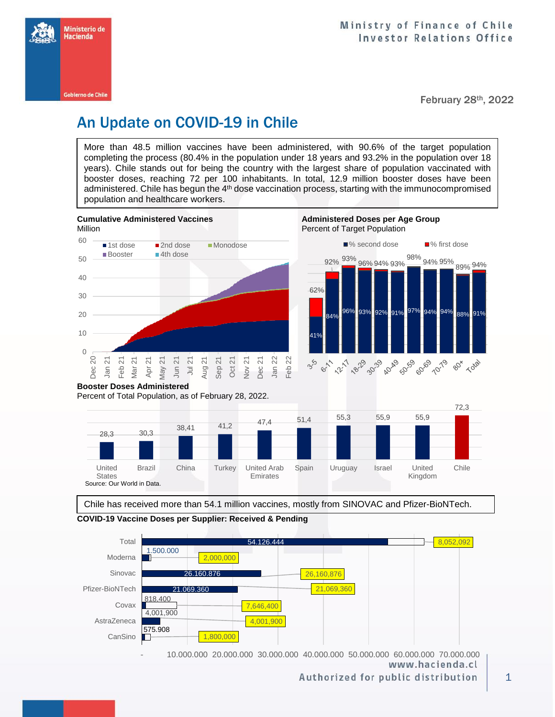

February 28th, 2022

## An Update on COVID-19 in Chile

More than 48.5 million vaccines have been administered, with 90.6% of the target population completing the process (80.4% in the population under 18 years and 93.2% in the population over 18 years). Chile stands out for being the country with the largest share of population vaccinated with booster doses, reaching 72 per 100 inhabitants. In total, 12.9 million booster doses have been administered. Chile has begun the 4<sup>th</sup> dose vaccination process, starting with the immunocompromised population and healthcare workers.



Percent of Total Population, as of February 28, 2022.



Chile has received more than 54.1 million vaccines, mostly from SINOVAC and Pfizer-BioNTech.

**COVID-19 Vaccine Doses per Supplier: Received & Pending**



www.hacienda.cl

Authorized for public distribution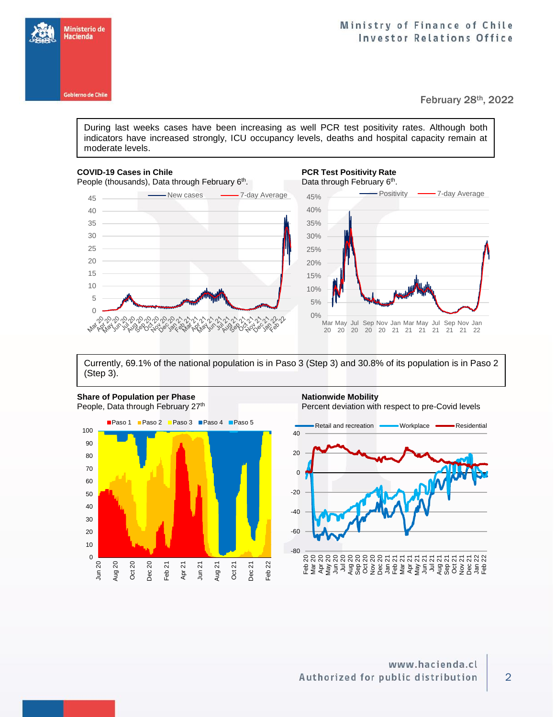



February 28th, 2022

During last weeks cases have been increasing as well PCR test positivity rates. Although both indicators have increased strongly, ICU occupancy levels, deaths and hospital capacity remain at moderate levels.

## **COVID-19 Cases in Chile PCR Test Positivity Rate**  People (thousands), Data through February 6<sup>th</sup>

ふふふぶふふぶぶふふふ

whose octobe

45 Wew cases -7-day Average

**Joccept** 

Max

ASN





Currently, 69.1% of the national population is in Paso 3 (Step 3) and 30.8% of its population is in Paso 2 (Step 3).

റി

00,000



**Share of Population per Phase Nationwide Mobility** 



2